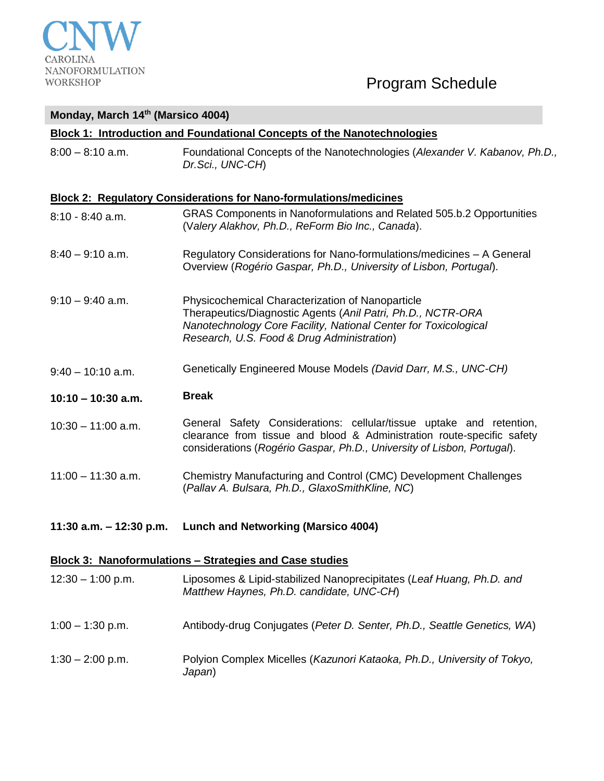

### **Monday, March 14th (Marsico 4004)**

### **Block 1: Introduction and Foundational Concepts of the Nanotechnologies**

8:00 – 8:10 a.m. Foundational Concepts of the Nanotechnologies (*Alexander V. Kabanov, Ph.D., Dr.Sci., UNC-CH*)

### **Block 2: Regulatory Considerations for Nano-formulations/medicines**

- 8:10 8:40 a.m. GRAS Components in Nanoformulations and Related 505.b.2 Opportunities (V*alery Alakhov, Ph.D., ReForm Bio Inc., Canada*).
- 8:40 9:10 a.m. Regulatory Considerations for Nano-formulations/medicines A General Overview (*Rogério Gaspar, Ph.D., University of Lisbon, Portugal*).
- 9:10 9:40 a.m. Physicochemical Characterization of Nanoparticle Therapeutics/Diagnostic Agents (*Anil Patri, Ph.D., NCTR-ORA Nanotechnology Core Facility, National Center for Toxicological Research, U.S. Food & Drug Administration*)
- 9:40 10:10 a.m. Genetically Engineered Mouse Models *(David Darr, M.S., UNC-CH)*

### **10:10 – 10:30 a.m. Break**

- 10:30 11:00 a.m. General Safety Considerations: cellular/tissue uptake and retention, clearance from tissue and blood & Administration route-specific safety considerations (*Rogério Gaspar, Ph.D., University of Lisbon, Portugal*).
- 11:00 11:30 a.m. Chemistry Manufacturing and Control (CMC) Development Challenges (*Pallav A. Bulsara, Ph.D., GlaxoSmithKline, NC*)
- **11:30 a.m. – 12:30 p.m. Lunch and Networking (Marsico 4004)**

### **Block 3: Nanoformulations – Strategies and Case studies**

12:30 – 1:00 p.m. Liposomes & Lipid-stabilized Nanoprecipitates (*Leaf Huang, Ph.D. and Matthew Haynes, Ph.D. candidate, UNC-CH*) 1:00 – 1:30 p.m. Antibody-drug Conjugates (*Peter D. Senter, Ph.D., Seattle Genetics, WA*) 1:30 – 2:00 p.m. Polyion Complex Micelles (*Kazunori Kataoka, Ph.D., University of Tokyo, Japan*)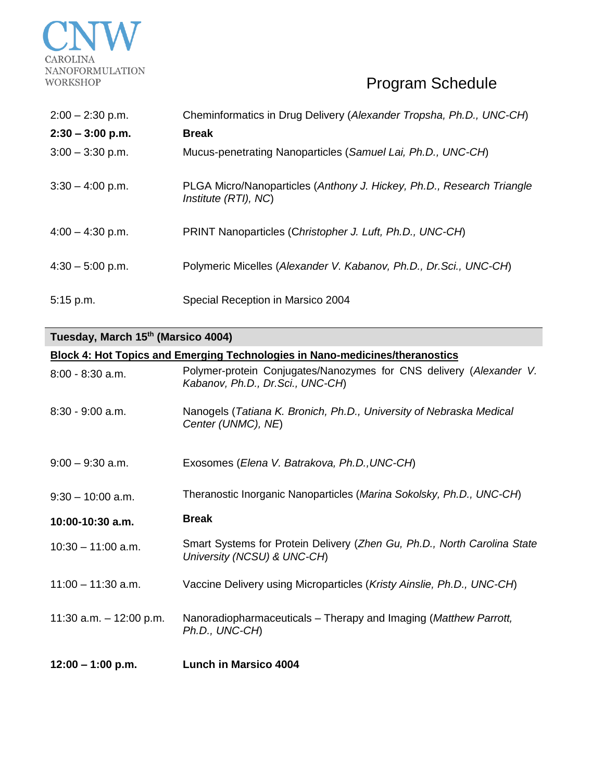

| $2:00 - 2:30$ p.m. | Cheminformatics in Drug Delivery (Alexander Tropsha, Ph.D., UNC-CH)                           |
|--------------------|-----------------------------------------------------------------------------------------------|
| $2:30 - 3:00$ p.m. | <b>Break</b>                                                                                  |
| $3:00 - 3:30$ p.m. | Mucus-penetrating Nanoparticles (Samuel Lai, Ph.D., UNC-CH)                                   |
| $3:30 - 4:00$ p.m. | PLGA Micro/Nanoparticles (Anthony J. Hickey, Ph.D., Research Triangle<br>Institute (RTI), NC) |
| $4:00 - 4:30$ p.m. | PRINT Nanoparticles (Christopher J. Luft, Ph.D., UNC-CH)                                      |
| $4:30 - 5:00$ p.m. | Polymeric Micelles (Alexander V. Kabanov, Ph.D., Dr.Sci., UNC-CH)                             |
| $5:15$ p.m.        | Special Reception in Marsico 2004                                                             |

**Tuesday, March 15th (Marsico 4004)**

| <b>Block 4: Hot Topics and Emerging Technologies in Nano-medicines/theranostics</b> |                                                                                                         |  |
|-------------------------------------------------------------------------------------|---------------------------------------------------------------------------------------------------------|--|
| $8:00 - 8:30$ a.m.                                                                  | Polymer-protein Conjugates/Nanozymes for CNS delivery (Alexander V.<br>Kabanov, Ph.D., Dr.Sci., UNC-CH) |  |
| $8:30 - 9:00$ a.m.                                                                  | Nanogels (Tatiana K. Bronich, Ph.D., University of Nebraska Medical<br>Center (UNMC), NE)               |  |
| $9:00 - 9:30$ a.m.                                                                  | Exosomes (Elena V. Batrakova, Ph.D., UNC-CH)                                                            |  |
| $9:30 - 10:00$ a.m.                                                                 | Theranostic Inorganic Nanoparticles (Marina Sokolsky, Ph.D., UNC-CH)                                    |  |
| 10:00-10:30 a.m.                                                                    | <b>Break</b>                                                                                            |  |
| $10:30 - 11:00$ a.m.                                                                | Smart Systems for Protein Delivery (Zhen Gu, Ph.D., North Carolina State<br>University (NCSU) & UNC-CH) |  |
| $11:00 - 11:30$ a.m.                                                                | Vaccine Delivery using Microparticles (Kristy Ainslie, Ph.D., UNC-CH)                                   |  |
| 11:30 a.m. $-$ 12:00 p.m.                                                           | Nanoradiopharmaceuticals - Therapy and Imaging (Matthew Parrott,<br>Ph.D., UNC-CH)                      |  |
| $12:00 - 1:00$ p.m.                                                                 | <b>Lunch in Marsico 4004</b>                                                                            |  |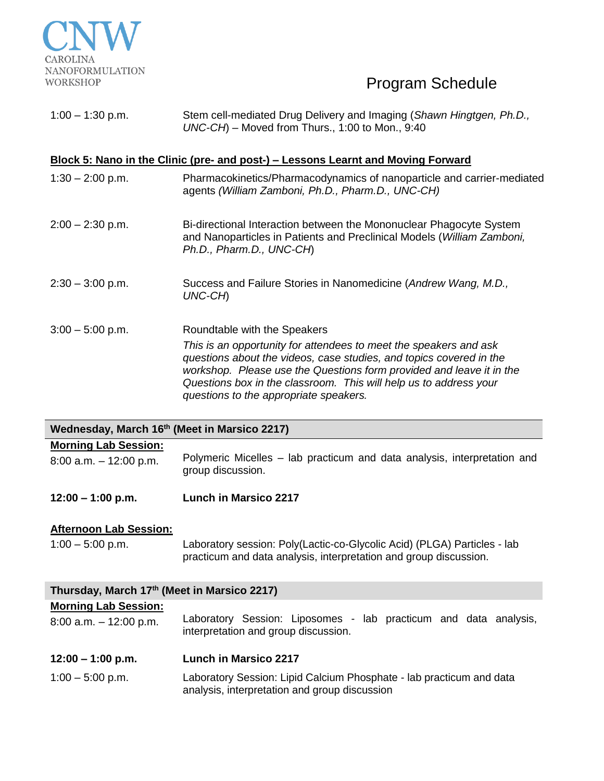

| $1:00 - 1:30$ p.m. | Stem cell-mediated Drug Delivery and Imaging (Shawn Hingtgen, Ph.D., |
|--------------------|----------------------------------------------------------------------|
|                    | $UNC-CH$ ) – Moved from Thurs., 1:00 to Mon., 9:40                   |

### **Block 5: Nano in the Clinic (pre- and post-) – Lessons Learnt and Moving Forward**

- 1:30 2:00 p.m. Pharmacokinetics/Pharmacodynamics of nanoparticle and carrier-mediated agents *(William Zamboni, Ph.D., Pharm.D., UNC-CH)*
- 2:00 2:30 p.m. Bi-directional Interaction between the Mononuclear Phagocyte System and Nanoparticles in Patients and Preclinical Models (*William Zamboni, Ph.D., Pharm.D., UNC-CH*)
- 2:30 3:00 p.m. Success and Failure Stories in Nanomedicine (*Andrew Wang, M.D., UNC-CH*)
- 3:00 5:00 p.m. Roundtable with the Speakers *This is an opportunity for attendees to meet the speakers and ask questions about the videos, case studies, and topics covered in the workshop. Please use the Questions form provided and leave it in the Questions box in the classroom. This will help us to address your questions to the appropriate speakers.*

### **Wednesday, March 16th (Meet in Marsico 2217)**

### **Morning Lab Session:**

8:00 a.m. – 12:00 p.m. Polymeric Micelles – lab practicum and data analysis, interpretation and group discussion.

**12:00 – 1:00 p.m. Lunch in Marsico 2217**

### **Afternoon Lab Session:**

1:00 – 5:00 p.m. Laboratory session: Poly(Lactic-co-Glycolic Acid) (PLGA) Particles - lab practicum and data analysis, interpretation and group discussion.

| Thursday, March 17th (Meet in Marsico 2217)              |                                                                                                                       |  |
|----------------------------------------------------------|-----------------------------------------------------------------------------------------------------------------------|--|
| <b>Morning Lab Session:</b><br>$8:00$ a.m. $-12:00$ p.m. | Laboratory Session: Liposomes - lab practicum and data analysis,<br>interpretation and group discussion.              |  |
| $12:00 - 1:00$ p.m.                                      | <b>Lunch in Marsico 2217</b>                                                                                          |  |
| $1:00 - 5:00$ p.m.                                       | Laboratory Session: Lipid Calcium Phosphate - lab practicum and data<br>analysis, interpretation and group discussion |  |